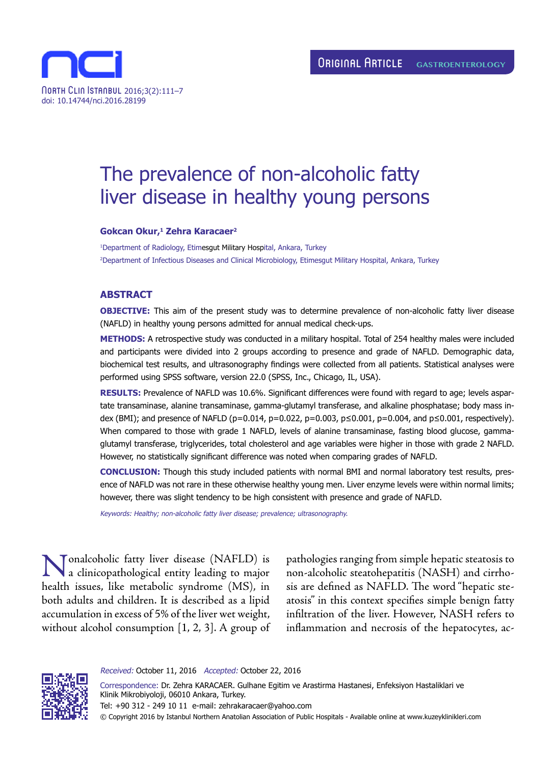

# The prevalence of non-alcoholic fatty liver disease in healthy young persons

## **Gokcan Okur,1 Zehra Karacaer2**

1 Department of Radiology, Etimesgut Military Hospital, Ankara, Turkey 2 Department of Infectious Diseases and Clinical Microbiology, Etimesgut Military Hospital, Ankara, Turkey

#### **ABSTRACT**

**OBJECTIVE:** This aim of the present study was to determine prevalence of non-alcoholic fatty liver disease (NAFLD) in healthy young persons admitted for annual medical check-ups.

**METHODS:** A retrospective study was conducted in a military hospital. Total of 254 healthy males were included and participants were divided into 2 groups according to presence and grade of NAFLD. Demographic data, biochemical test results, and ultrasonography findings were collected from all patients. Statistical analyses were performed using SPSS software, version 22.0 (SPSS, Inc., Chicago, IL, USA).

**RESULTS:** Prevalence of NAFLD was 10.6%. Significant differences were found with regard to age; levels aspartate transaminase, alanine transaminase, gamma-glutamyl transferase, and alkaline phosphatase; body mass index (BMI); and presence of NAFLD (p=0.014, p=0.022, p=0.003, p≤0.001, p=0.004, and p≤0.001, respectively). When compared to those with grade 1 NAFLD, levels of alanine transaminase, fasting blood glucose, gammaglutamyl transferase, triglycerides, total cholesterol and age variables were higher in those with grade 2 NAFLD. However, no statistically significant difference was noted when comparing grades of NAFLD.

**CONCLUSION:** Though this study included patients with normal BMI and normal laboratory test results, presence of NAFLD was not rare in these otherwise healthy young men. Liver enzyme levels were within normal limits; however, there was slight tendency to be high consistent with presence and grade of NAFLD.

Keywords: Healthy; non-alcoholic fatty liver disease; prevalence; ultrasonography.

Nonalcoholic fatty liver disease (NAFLD) is a clinicopathological entity leading to major health issues, like metabolic syndrome (MS), in both adults and children. It is described as a lipid accumulation in excess of 5% of the liver wet weight, without alcohol consumption [1, 2, 3]. A group of

pathologies ranging from simple hepatic steatosis to non-alcoholic steatohepatitis (NASH) and cirrhosis are defined as NAFLD. The word "hepatic steatosis" in this context specifies simple benign fatty infiltration of the liver. However, NASH refers to inflammation and necrosis of the hepatocytes, ac-



Received: October 11, 2016 Accepted: October 22, 2016

Correspondence: Dr. Zehra KARACAER. Gulhane Egitim ve Arastirma Hastanesi, Enfeksiyon Hastaliklari ve Klinik Mikrobiyoloji, 06010 Ankara, Turkey. Tel: +90 312 - 249 10 11 e-mail: zehrakaracaer@yahoo.com © Copyright 2016 by Istanbul Northern Anatolian Association of Public Hospitals - Available online at www.kuzeyklinikleri.com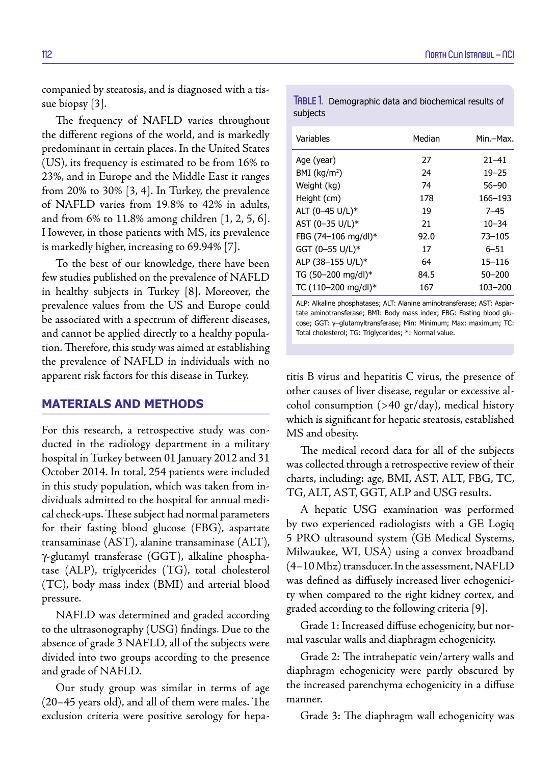companied by steatosis, and is diagnosed with a tissue biopsy [3].

The frequency of NAFLD varies throughout the different regions of the world, and is markedly predominant in certain places. In the United States (US), its frequency is estimated to be from 16% to 23%, and in Europe and the Middle East it ranges from 20% to 30% [3, 4]. In Turkey, the prevalence of NAFLD varies from 19.8% to 42% in adults, and from 6% to 11.8% among children [1, 2, 5, 6]. However, in those patients with MS, its prevalence is markedly higher, increasing to 69.94% [7].

To the best of our knowledge, there have been few studies published on the prevalence of NAFLD in healthy subjects in Turkey [8]. Moreover, the prevalence values from the US and Europe could be associated with a spectrum of different diseases, and cannot be applied directly to a healthy population. Therefore, this study was aimed at establishing the prevalence of NAFLD in individuals with no apparent risk factors for this disease in Turkey.

# **MATERIALS AND METHODS**

For this research, a retrospective study was conducted in the radiology department in a military hospital in Turkey between 01 January 2012 and 31 October 2014. In total, 254 patients were included in this study population, which was taken from individuals admitted to the hospital for annual medical check-ups. These subject had normal parameters for their fasting blood glucose (FBG), aspartate transaminase (AST), alanine transaminase (ALT), γ-glutamyl transferase (GGT), alkaline phosphatase (ALP), triglycerides (TG), total cholesterol (TC), body mass index (BMI) and arterial blood pressure.

NAFLD was determined and graded according to the ultrasonography (USG) findings. Due to the absence of grade 3 NAFLD, all of the subjects were divided into two groups according to the presence and grade of NAFLD.

Our study group was similar in terms of age (20–45 years old), and all of them were males. The exclusion criteria were positive serology for hepa-

TABLE 1. Demographic data and biochemical results of subjects

| Variables                  | Median | Min.—Max.  |
|----------------------------|--------|------------|
| Age (year)                 | 27     | $21 - 41$  |
| $BMI$ (kg/m <sup>2</sup> ) | 24     | $19 - 25$  |
| Weight (kg)                | 74     | $56 - 90$  |
| Height (cm)                | 178    | 166–193    |
| ALT (0-45 U/L)*            | 19     | $7 - 45$   |
| AST (0-35 U/L)*            | 21     | $10 - 34$  |
| FBG (74-106 mg/dl)*        | 92.0   | $73 - 105$ |
| GGT (0-55 U/L)*            | 17     | 6–51       |
| ALP (38-155 U/L)*          | 64     | $15 - 116$ |
| TG (50-200 mg/dl)*         | 84.5   | $50 - 200$ |
| TC (110-200 mg/dl)*        | 167    | 103-200    |

ALP: Alkaline phosphatases; ALT: Alanine aminotransferase; AST: Aspartate aminotransferase; BMI: Body mass index; FBG: Fasting blood glucose; GGT: γ–glutamyltransferase; Min: Minimum; Max: maximum; TC: Total cholesterol; TG: Triglycerides; \*: Normal value.

titis B virus and hepatitis C virus, the presence of other causes of liver disease, regular or excessive alcohol consumption (>40 gr/day), medical history which is significant for hepatic steatosis, established MS and obesity.

The medical record data for all of the subjects was collected through a retrospective review of their charts, including: age, BMI, AST, ALT, FBG, TC, TG, ALT, AST, GGT, ALP and USG results.

A hepatic USG examination was performed by two experienced radiologists with a GE Logiq 5 PRO ultrasound system (GE Medical Systems, Milwaukee, WI, USA) using a convex broadband (4–10 Mhz) transducer. In the assessment, NAFLD was defined as diffusely increased liver echogenicity when compared to the right kidney cortex, and graded according to the following criteria [9].

Grade 1: Increased diffuse echogenicity, but normal vascular walls and diaphragm echogenicity.

Grade 2: The intrahepatic vein/artery walls and diaphragm echogenicity were partly obscured by the increased parenchyma echogenicity in a diffuse manner.

Grade 3: The diaphragm wall echogenicity was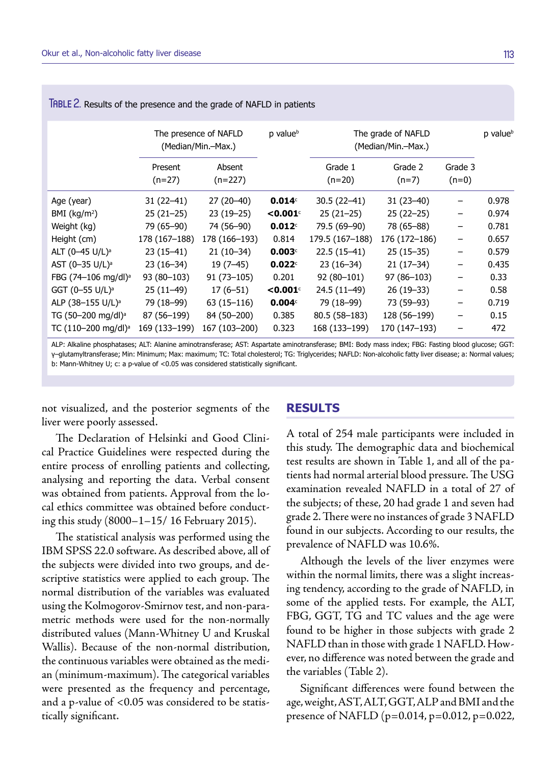|                                 | The presence of NAFLD<br>(Median/Min.-Max.) |                     | p value <sup>b</sup> | The grade of NAFLD<br>(Median/Min.-Max.) |                    | p value <sup>b</sup> |       |
|---------------------------------|---------------------------------------------|---------------------|----------------------|------------------------------------------|--------------------|----------------------|-------|
|                                 | Present<br>$(n=27)$                         | Absent<br>$(n=227)$ |                      | Grade 1<br>$(n=20)$                      | Grade 2<br>$(n=7)$ | Grade 3<br>$(n=0)$   |       |
| Age (year)                      | 31 (22–41)                                  | 27 (20–40)          | $0.014^\circ$        | $30.5(22-41)$                            | 31 (23–40)         | -                    | 0.978 |
| BMI $(kg/m2)$                   | $25(21-25)$                                 | $23(19-25)$         | $<$ 0.001 $\circ$    | $25(21-25)$                              | $25(22-25)$        | $\qquad \qquad$      | 0.974 |
| Weight (kg)                     | 79 (65-90)                                  | 74 (56-90)          | 0.012c               | 79.5 (69-90)                             | 78 (65-88)         | -                    | 0.781 |
| Height (cm)                     | 178 (167-188)                               | 178 (166-193)       | 0.814                | 179.5 (167-188)                          | 176 (172–186)      | -                    | 0.657 |
| ALT (0-45 U/L) <sup>a</sup>     | 23 (15–41)                                  | $21(10-34)$         | 0.003c               | $22.5(15-41)$                            | $25(15-35)$        | -                    | 0.579 |
| AST (0-35 U/L) <sup>a</sup>     | 23 (16–34)                                  | $19(7-45)$          | 0.022c               | $23(16-34)$                              | $21(17-34)$        | -                    | 0.435 |
| FBG (74-106 mg/dl) <sup>a</sup> | $93(80-103)$                                | $91(73 - 105)$      | 0.201                | $92(80-101)$                             | $97(86-103)$       | -                    | 0.33  |
| GGT (0-55 U/L) <sup>a</sup>     | $25(11-49)$                                 | $17(6-51)$          | $<$ 0.001 $\circ$    | 24.5 (11-49)                             | $26(19-33)$        | -                    | 0.58  |
| ALP (38-155 U/L) <sup>a</sup>   | 79 (18–99)                                  | 63 (15–116)         | 0.004 <sup>c</sup>   | 79 (18–99)                               | 73 (59–93)         | -                    | 0.719 |
| TG (50-200 mg/dl) <sup>a</sup>  | 87 (56–199)                                 | 84 (50-200)         | 0.385                | $80.5(58-183)$                           | 128 (56-199)       | -                    | 0.15  |
| TC (110-200 mg/dl) <sup>a</sup> | 169 (133-199)                               | 167 (103-200)       | 0.323                | 168 (133-199)                            | 170 (147–193)      | -                    | 472   |

TABLE 2. Results of the presence and the grade of NAFLD in patients

ALP: Alkaline phosphatases; ALT: Alanine aminotransferase; AST: Aspartate aminotransferase; BMI: Body mass index; FBG: Fasting blood glucose; GGT: γ–glutamyltransferase; Min: Minimum; Max: maximum; TC: Total cholesterol; TG: Triglycerides; NAFLD: Non-alcoholic fatty liver disease; a: Normal values; b: Mann-Whitney U; c: a p-value of <0.05 was considered statistically significant.

not visualized, and the posterior segments of the liver were poorly assessed.

## **RESULTS**

The Declaration of Helsinki and Good Clinical Practice Guidelines were respected during the entire process of enrolling patients and collecting, analysing and reporting the data. Verbal consent was obtained from patients. Approval from the local ethics committee was obtained before conducting this study (8000–1–15/ 16 February 2015).

The statistical analysis was performed using the IBM SPSS 22.0 software. As described above, all of the subjects were divided into two groups, and descriptive statistics were applied to each group. The normal distribution of the variables was evaluated using the Kolmogorov-Smirnov test, and non-parametric methods were used for the non-normally distributed values (Mann-Whitney U and Kruskal Wallis). Because of the non-normal distribution, the continuous variables were obtained as the median (minimum-maximum). The categorical variables were presented as the frequency and percentage, and a p-value of <0.05 was considered to be statistically significant.

A total of 254 male participants were included in this study. The demographic data and biochemical test results are shown in Table 1, and all of the patients had normal arterial blood pressure. The USG examination revealed NAFLD in a total of 27 of the subjects; of these, 20 had grade 1 and seven had grade 2. There were no instances of grade 3 NAFLD found in our subjects. According to our results, the prevalence of NAFLD was 10.6%.

Although the levels of the liver enzymes were within the normal limits, there was a slight increasing tendency, according to the grade of NAFLD, in some of the applied tests. For example, the ALT, FBG, GGT, TG and TC values and the age were found to be higher in those subjects with grade 2 NAFLD than in those with grade 1 NAFLD. However, no difference was noted between the grade and the variables (Table 2).

Significant differences were found between the age, weight, AST, ALT, GGT, ALP and BMI and the presence of NAFLD (p=0.014, p=0.012, p=0.022,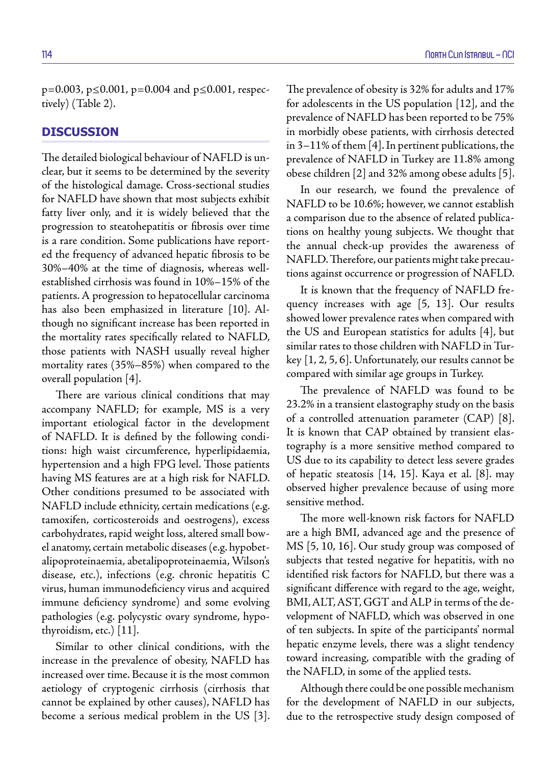p=0.003, p≤0.001, p=0.004 and p≤0.001, respectively) (Table 2).

# **DISCUSSION**

The detailed biological behaviour of NAFLD is unclear, but it seems to be determined by the severity of the histological damage. Cross-sectional studies for NAFLD have shown that most subjects exhibit fatty liver only, and it is widely believed that the progression to steatohepatitis or fibrosis over time is a rare condition. Some publications have reported the frequency of advanced hepatic fibrosis to be 30%–40% at the time of diagnosis, whereas wellestablished cirrhosis was found in 10%–15% of the patients. A progression to hepatocellular carcinoma has also been emphasized in literature [10]. Although no significant increase has been reported in the mortality rates specifically related to NAFLD, those patients with NASH usually reveal higher mortality rates (35%–85%) when compared to the overall population [4].

There are various clinical conditions that may accompany NAFLD; for example, MS is a very important etiological factor in the development of NAFLD. It is defined by the following conditions: high waist circumference, hyperlipidaemia, hypertension and a high FPG level. Those patients having MS features are at a high risk for NAFLD. Other conditions presumed to be associated with NAFLD include ethnicity, certain medications (e.g. tamoxifen, corticosteroids and oestrogens), excess carbohydrates, rapid weight loss, altered small bowel anatomy, certain metabolic diseases (e.g. hypobetalipoproteinaemia, abetalipoproteinaemia, Wilson's disease, etc.), infections (e.g. chronic hepatitis C virus, human immunodeficiency virus and acquired immune deficiency syndrome) and some evolving pathologies (e.g. polycystic ovary syndrome, hypothyroidism, etc.) [11].

Similar to other clinical conditions, with the increase in the prevalence of obesity, NAFLD has increased over time. Because it is the most common aetiology of cryptogenic cirrhosis (cirrhosis that cannot be explained by other causes), NAFLD has become a serious medical problem in the US [3]. The prevalence of obesity is 32% for adults and 17% for adolescents in the US population [12], and the prevalence of NAFLD has been reported to be 75% in morbidly obese patients, with cirrhosis detected in 3–11% of them [4]. In pertinent publications, the prevalence of NAFLD in Turkey are 11.8% among obese children [2] and 32% among obese adults [5].

In our research, we found the prevalence of NAFLD to be 10.6%; however, we cannot establish a comparison due to the absence of related publications on healthy young subjects. We thought that the annual check-up provides the awareness of NAFLD. Therefore, our patients might take precautions against occurrence or progression of NAFLD.

It is known that the frequency of NAFLD frequency increases with age [5, 13]. Our results showed lower prevalence rates when compared with the US and European statistics for adults [4], but similar rates to those children with NAFLD in Turkey [1, 2, 5, 6]. Unfortunately, our results cannot be compared with similar age groups in Turkey.

The prevalence of NAFLD was found to be 23.2% in a transient elastography study on the basis of a controlled attenuation parameter (CAP) [8]. It is known that CAP obtained by transient elastography is a more sensitive method compared to US due to its capability to detect less severe grades of hepatic steatosis [14, 15]. Kaya et al. [8]. may observed higher prevalence because of using more sensitive method.

The more well-known risk factors for NAFLD are a high BMI, advanced age and the presence of MS [5, 10, 16]. Our study group was composed of subjects that tested negative for hepatitis, with no identified risk factors for NAFLD, but there was a significant difference with regard to the age, weight, BMI, ALT, AST, GGT and ALP in terms of the development of NAFLD, which was observed in one of ten subjects. In spite of the participants' normal hepatic enzyme levels, there was a slight tendency toward increasing, compatible with the grading of the NAFLD, in some of the applied tests.

Although there could be one possible mechanism for the development of NAFLD in our subjects, due to the retrospective study design composed of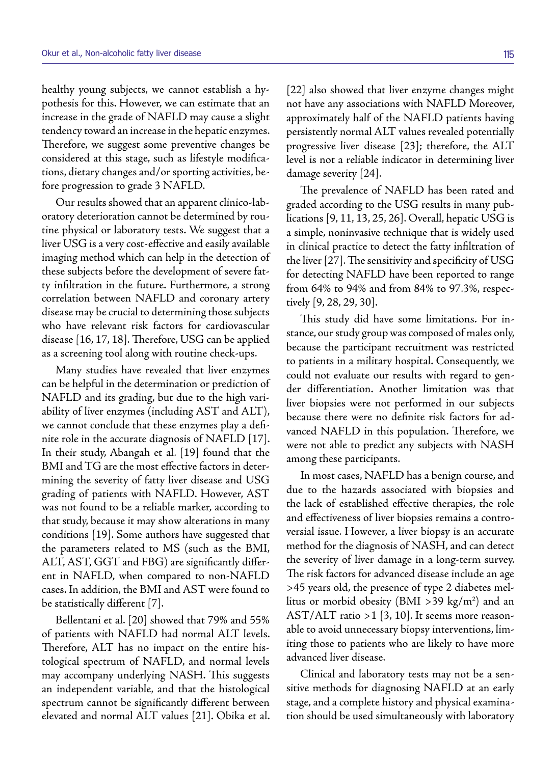healthy young subjects, we cannot establish a hypothesis for this. However, we can estimate that an increase in the grade of NAFLD may cause a slight tendency toward an increase in the hepatic enzymes. Therefore, we suggest some preventive changes be considered at this stage, such as lifestyle modifications, dietary changes and/or sporting activities, before progression to grade 3 NAFLD.

Our results showed that an apparent clinico-laboratory deterioration cannot be determined by routine physical or laboratory tests. We suggest that a liver USG is a very cost-effective and easily available imaging method which can help in the detection of these subjects before the development of severe fatty infiltration in the future. Furthermore, a strong correlation between NAFLD and coronary artery disease may be crucial to determining those subjects who have relevant risk factors for cardiovascular disease [16, 17, 18]. Therefore, USG can be applied as a screening tool along with routine check-ups.

Many studies have revealed that liver enzymes can be helpful in the determination or prediction of NAFLD and its grading, but due to the high variability of liver enzymes (including AST and ALT), we cannot conclude that these enzymes play a definite role in the accurate diagnosis of NAFLD [17]. In their study, Abangah et al. [19] found that the BMI and TG are the most effective factors in determining the severity of fatty liver disease and USG grading of patients with NAFLD. However, AST was not found to be a reliable marker, according to that study, because it may show alterations in many conditions [19]. Some authors have suggested that the parameters related to MS (such as the BMI, ALT, AST, GGT and FBG) are significantly different in NAFLD, when compared to non-NAFLD cases. In addition, the BMI and AST were found to be statistically different [7].

Bellentani et al. [20] showed that 79% and 55% of patients with NAFLD had normal ALT levels. Therefore, ALT has no impact on the entire histological spectrum of NAFLD, and normal levels may accompany underlying NASH. This suggests an independent variable, and that the histological spectrum cannot be significantly different between elevated and normal ALT values [21]. Obika et al.

[22] also showed that liver enzyme changes might not have any associations with NAFLD Moreover, approximately half of the NAFLD patients having persistently normal ALT values revealed potentially progressive liver disease [23]; therefore, the ALT level is not a reliable indicator in determining liver damage severity [24].

The prevalence of NAFLD has been rated and graded according to the USG results in many publications [9, 11, 13, 25, 26]. Overall, hepatic USG is a simple, noninvasive technique that is widely used in clinical practice to detect the fatty infiltration of the liver [27]. The sensitivity and specificity of USG for detecting NAFLD have been reported to range from 64% to 94% and from 84% to 97.3%, respectively [9, 28, 29, 30].

This study did have some limitations. For instance, our study group was composed of males only, because the participant recruitment was restricted to patients in a military hospital. Consequently, we could not evaluate our results with regard to gender differentiation. Another limitation was that liver biopsies were not performed in our subjects because there were no definite risk factors for advanced NAFLD in this population. Therefore, we were not able to predict any subjects with NASH among these participants.

In most cases, NAFLD has a benign course, and due to the hazards associated with biopsies and the lack of established effective therapies, the role and effectiveness of liver biopsies remains a controversial issue. However, a liver biopsy is an accurate method for the diagnosis of NASH, and can detect the severity of liver damage in a long-term survey. The risk factors for advanced disease include an age >45 years old, the presence of type 2 diabetes mellitus or morbid obesity (BMI >39 kg/m<sup>2</sup>) and an AST/ALT ratio >1 [3, 10]. It seems more reasonable to avoid unnecessary biopsy interventions, limiting those to patients who are likely to have more advanced liver disease.

Clinical and laboratory tests may not be a sensitive methods for diagnosing NAFLD at an early stage, and a complete history and physical examination should be used simultaneously with laboratory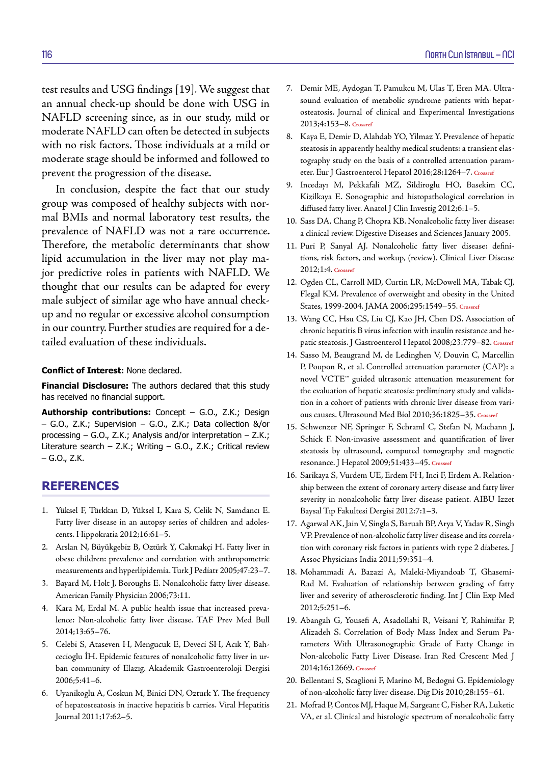test results and USG findings [19]. We suggest that an annual check-up should be done with USG in NAFLD screening since, as in our study, mild or moderate NAFLD can often be detected in subjects with no risk factors. Those individuals at a mild or moderate stage should be informed and followed to prevent the progression of the disease.

In conclusion, despite the fact that our study group was composed of healthy subjects with normal BMIs and normal laboratory test results, the prevalence of NAFLD was not a rare occurrence. Therefore, the metabolic determinants that show lipid accumulation in the liver may not play major predictive roles in patients with NAFLD. We thought that our results can be adapted for every male subject of similar age who have annual checkup and no regular or excessive alcohol consumption in our country. Further studies are required for a detailed evaluation of these individuals.

## **Conflict of Interest:** None declared.

**Financial Disclosure:** The authors declared that this study has received no financial support.

**Authorship contributions:** Concept – G.O., Z.K.; Design – G.O., Z.K.; Supervision – G.O., Z.K.; Data collection &/or processing – G.O., Z.K.; Analysis and/or interpretation – Z.K.; Literature search – Z.K.; Writing – G.O., Z.K.; Critical review – G.O., Z.K.

## **REFERENCES**

- 1. Yüksel F, Türkkan D, Yüksel I, Kara S, Celik N, Samdancı E. Fatty liver disease in an autopsy series of children and adolescents. Hippokratia 2012;16:61–5.
- 2. Arslan N, Büyükgebiz B, Oztürk Y, Cakmakçi H. Fatty liver in obese children: prevalence and correlation with anthropometric measurements and hyperlipidemia. Turk J Pediatr 2005;47:23–7.
- 3. Bayard M, Holt J, Boroughs E. Nonalcoholic fatty liver disease. American Family Physician 2006;73:11.
- 4. Kara M, Erdal M. A public health issue that increased prevalence: Non-alcoholic fatty liver disease. TAF Prev Med Bull 2014;13:65–76.
- 5. Celebi S, Ataseven H, Mengucuk E, Deveci SH, Acık Y, Bahcecioglu İH. Epidemic features of nonalcoholic fatty liver in urban community of Elazıg. Akademik Gastroenteroloji Dergisi 2006;5:41–6.
- 6. Uyanikoglu A, Coskun M, Binici DN, Ozturk Y. The frequency of hepatosteatosis in inactive hepatitis b carries. Viral Hepatitis Journal 2011;17:62–5.
- 7. Demir ME, Aydogan T, Pamukcu M, Ulas T, Eren MA. Ultrasound evaluation of metabolic syndrome patients with hepatosteatosis. Journal of clinical and Experimental Investigations 2013;4:153–8. **[Crossref](https://doi.org/10.5799/ahinjs.01.2013.02.0256)**
- 8. Kaya E, Demir D, Alahdab YO, Yilmaz Y. Prevalence of hepatic steatosis in apparently healthy medical students: a transient elastography study on the basis of a controlled attenuation parameter. Eur J Gastroenterol Hepatol 2016;28:1264–7. **[Crossref](https://doi.org/10.1097/MEG.0000000000000681)**
- 9. Incedayı M, Pekkafali MZ, Sildiroglu HO, Basekim CC, Kizilkaya E. Sonographic and histopathological correlation in diffused fatty liver. Anatol J Clin Investig 2012;6:1–5.
- 10. Sass DA, Chang P, Chopra KB. Nonalcoholic fatty liver disease: a clinical review. [Digestive Diseases and Sciences January 2005.](https://doi.org/10.1007/s10620-005-1267-z)
- 11. Puri P, Sanyal AJ. Nonalcoholic fatty liver disease: definitions, risk factors, and workup, (review). Clinical Liver Disease 2012;1:4. **[Crossref](https://doi.org/10.1002/cld.81)**
- 12. Ogden CL, Carroll MD, Curtin LR, McDowell MA, Tabak CJ, Flegal KM. Prevalence of overweight and obesity in the United States, 1999-2004. JAMA 2006;295:1549–55. **[Crossref](https://doi.org/10.1001/jama.295.13.1549)**
- 13. Wang CC, Hsu CS, Liu CJ, Kao JH, Chen DS. Association of chronic hepatitis B virus infection with insulin resistance and hepatic steatosis. J Gastroenterol Hepatol 2008;23:779–82. **[Crossref](https://doi.org/10.1111/j.1440-1746.2007.05216.x)**
- 14. Sasso M, Beaugrand M, de Ledinghen V, Douvin C, Marcellin P, Poupon R, et al. Controlled attenuation parameter (CAP): a novel VCTE™ guided ultrasonic attenuation measurement for the evaluation of hepatic steatosis: preliminary study and validation in a cohort of patients with chronic liver disease from various causes. Ultrasound Med Biol 2010;36:1825–35. **[Crossref](https://doi.org/10.1016/j.ultrasmedbio.2010.07.005)**
- 15. Schwenzer NF, Springer F, Schraml C, Stefan N, Machann J, Schick F. Non-invasive assessment and quantification of liver steatosis by ultrasound, computed tomography and magnetic resonance. J Hepatol 2009;51:433–45. **[Crossref](https://doi.org/10.1016/j.jhep.2009.05.023)**
- 16. Sarikaya S, Vurdem UE, Erdem FH, Inci F, Erdem A. Relationship between the extent of coronary artery disease and fatty liver severity in nonalcoholic fatty liver disease patient. AIBU Izzet Baysal Tıp Fakultesi Dergisi 2012:7:1–3.
- 17. Agarwal AK, Jain V, Singla S, Baruah BP, Arya V, Yadav R, Singh VP. Prevalence of non-alcoholic fatty liver disease and its correlation with coronary risk factors in patients with type 2 diabetes. J Assoc Physicians India 2011;59:351–4.
- 18. Mohammadi A, Bazazi A, Maleki-Miyandoab T, Ghasemi-Rad M. Evaluation of relationship between grading of fatty liver and severity of atherosclerotic finding. Int J Clin Exp Med 2012;5:251–6.
- 19. Abangah G, Yousefi A, Asadollahi R, Veisani Y, Rahimifar P, Alizadeh S. Correlation of Body Mass Index and Serum Parameters With Ultrasonographic Grade of Fatty Change in Non-alcoholic Fatty Liver Disease. Iran Red Crescent Med J 2014;16:12669. **[Crossref](https://doi.org/10.5812/ircmj.12669)**
- 20. Bellentani S, Scaglioni F, Marino M, Bedogni G. Epidemiology of non-alcoholic fatty liver disease[. Dig Dis 2010;28:155–61.](https://doi.org/10.1159/000282080)
- 21. Mofrad P, Contos MJ, Haque M, Sargeant C, Fisher RA, Luketic VA, et al. Clinical and histologic spectrum of nonalcoholic fatty